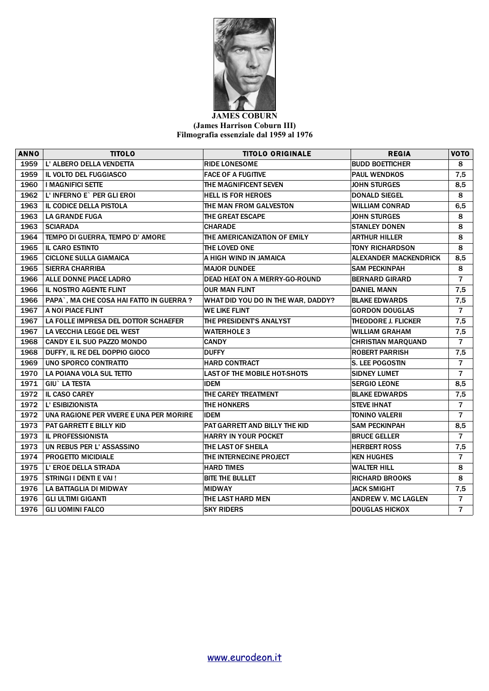

## **JAMES COBURN (James Harrison Coburn III) Filmografia essenziale dal 1959 al 1976**

| <b>ANNO</b> | <b>TITOLO</b>                           | <b>TITOLO ORIGINALE</b>              | <b>REGIA</b>                 | VOTO           |
|-------------|-----------------------------------------|--------------------------------------|------------------------------|----------------|
| 1959        | L' ALBERO DELLA VENDETTA                | <b>RIDE LONESOME</b>                 | <b>BUDD BOETTICHER</b>       | 8              |
| 1959        | IL VOLTO DEL FUGGIASCO                  | <b>FACE OF A FUGITIVE</b>            | <b>PAUL WENDKOS</b>          | 7,5            |
| 1960        | <b>I MAGNIFICI SETTE</b>                | <b>THE MAGNIFICENT SEVEN</b>         | <b>JOHN STURGES</b>          | 8,5            |
| 1962        | L' INFERNO E` PER GLI EROI              | <b>HELL IS FOR HEROES</b>            | <b>DONALD SIEGEL</b>         | 8              |
| 1963        | IL CODICE DELLA PISTOLA                 | THE MAN FROM GALVESTON               | <b>WILLIAM CONRAD</b>        | 6,5            |
| 1963        | <b>LA GRANDE FUGA</b>                   | THE GREAT ESCAPE                     | <b>JOHN STURGES</b>          | 8              |
| 1963        | <b>SCIARADA</b>                         | <b>CHARADE</b>                       | <b>STANLEY DONEN</b>         | 8              |
| 1964        | TEMPO DI GUERRA, TEMPO D' AMORE         | THE AMERICANIZATION OF EMILY         | <b>ARTHUR HILLER</b>         | 8              |
| 1965        | <b>IL CARO ESTINTO</b>                  | THE LOVED ONE                        | <b>TONY RICHARDSON</b>       | 8              |
| 1965        | <b>CICLONE SULLA GIAMAICA</b>           | A HIGH WIND IN JAMAICA               | <b>ALEXANDER MACKENDRICK</b> | 8,5            |
| 1965        | <b>SIERRA CHARRIBA</b>                  | <b>MAJOR DUNDEE</b>                  | <b>SAM PECKINPAH</b>         | 8              |
| 1966        | ALLE DONNE PIACE LADRO                  | <b>DEAD HEAT ON A MERRY-GO-ROUND</b> | <b>BERNARD GIRARD</b>        | $\overline{7}$ |
| 1966        | IL NOSTRO AGENTE FLINT                  | <b>OUR MAN FLINT</b>                 | <b>DANIEL MANN</b>           | 7,5            |
| 1966        | PAPA`, MA CHE COSA HAI FATTO IN GUERRA? | WHAT DID YOU DO IN THE WAR, DADDY?   | <b>BLAKE EDWARDS</b>         | 7,5            |
| 1967        | A NOI PIACE FLINT                       | <b>WE LIKE FLINT</b>                 | <b>GORDON DOUGLAS</b>        | $\overline{7}$ |
| 1967        | LA FOLLE IMPRESA DEL DOTTOR SCHAEFER    | THE PRESIDENTS ANALYST               | <b>THEODORE J. FLICKER</b>   | 7,5            |
| 1967        | LA VECCHIA LEGGE DEL WEST               | <b>WATERHOLE 3</b>                   | <b>WILLIAM GRAHAM</b>        | 7,5            |
| 1968        | CANDY E IL SUO PAZZO MONDO              | <b>CANDY</b>                         | <b>CHRISTIAN MARQUAND</b>    | $\overline{7}$ |
| 1968        | DUFFY, IL RE DEL DOPPIO GIOCO           | <b>DUFFY</b>                         | <b>ROBERT PARRISH</b>        | 7,5            |
| 1969        | UNO SPORCO CONTRATTO                    | <b>HARD CONTRACT</b>                 | <b>S. LEE POGOSTIN</b>       | $\overline{7}$ |
| 1970        | LA POIANA VOLA SUL TETTO                | <b>LAST OF THE MOBILE HOT-SHOTS</b>  | <b>SIDNEY LUMET</b>          | $\overline{7}$ |
| 1971        | <b>GIU</b> ` LA TESTA                   | <b>IDEM</b>                          | <b>SERGIO LEONE</b>          | 8,5            |
| 1972        | <b>IL CASO CAREY</b>                    | THE CAREY TREATMENT                  | <b>BLAKE EDWARDS</b>         | 7,5            |
| 1972        | L' ESIBIZIONISTA                        | <b>THE HONKERS</b>                   | <b>STEVE IHNAT</b>           | $\overline{7}$ |
| 1972        | UNA RAGIONE PER VIVERE E UNA PER MORIRE | <b>IDEM</b>                          | TONINO VALERII               | $\overline{7}$ |
| 1973        | <b>PAT GARRETT E BILLY KID</b>          | PAT GARRETT AND BILLY THE KID        | <b>SAM PECKINPAH</b>         | 8,5            |
| 1973        | <b>IL PROFESSIONISTA</b>                | HARRY IN YOUR POCKET                 | <b>BRUCE GELLER</b>          | $\overline{7}$ |
| 1973        | UN REBUS PER L'ASSASSINO                | THE LAST OF SHEILA                   | <b>HERBERT ROSS</b>          | 7,5            |
| 1974        | <b>PROGETTO MICIDIALE</b>               | THE INTERNECINE PROJECT              | <b>KEN HUGHES</b>            | $\overline{7}$ |
| 1975        | L' EROE DELLA STRADA                    | <b>HARD TIMES</b>                    | <b>WALTER HILL</b>           | 8              |
| 1975        | STRINGI I DENTI E VAI !                 | <b>BITE THE BULLET</b>               | <b>RICHARD BROOKS</b>        | 8              |
| 1976        | LA BATTAGLIA DI MIDWAY                  | <b>MIDWAY</b>                        | <b>JACK SMIGHT</b>           | 7,5            |
| 1976        | <b>GLI ULTIMI GIGANTI</b>               | THE LAST HARD MEN                    | <b>ANDREW V. MC LAGLEN</b>   | $\overline{7}$ |
| 1976        | <b>GLI UOMINI FALCO</b>                 | <b>SKY RIDERS</b>                    | <b>DOUGLAS HICKOX</b>        | $\overline{7}$ |